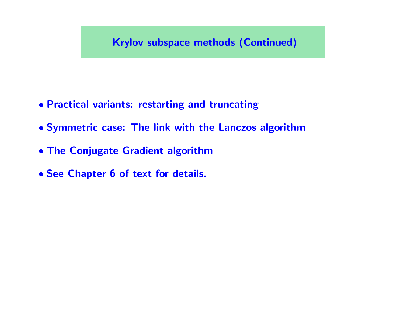#### Krylov subspace methods (Continued)

- Practical variants: restarting and truncating
- Symmetric case: The link with the Lanczos algorithm
- The Conjugate Gradient algorithm
- See Chapter 6 of text for details.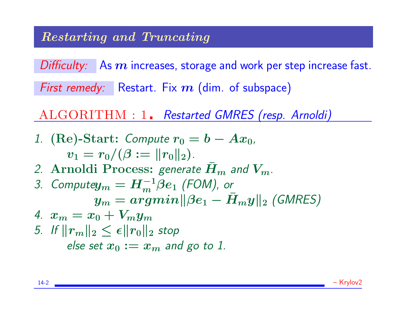Difficulty: As  $m$  increases, storage and work per step increase fast.

First remedy: Restart. Fix  $m$  (dim. of subspace)

ALGORITHM : 1. Restarted GMRES (resp. Arnoldi)

1. (Re)-Start: Compute  $r_0 = b - Ax_0$ ,  $v_1 = r_0/(\beta := ||r_0||_2).$ 2. Arnoldi Process: generate  $H_m$  and  $V_m$ . 3. Compute $y_m = H_m^{-1}\beta e_1$  (FOM), or  $y_m = argmin ||\beta e_1 - \bar{H}_m y||_2$  (GMRES) 4.  $x_m = x_0 + V_m y_m$ 5. If  $||r_m||_2 \leq \epsilon ||r_0||_2$  stop else set  $x_0 := x_m$  and go to 1.

14-2 – Krylov2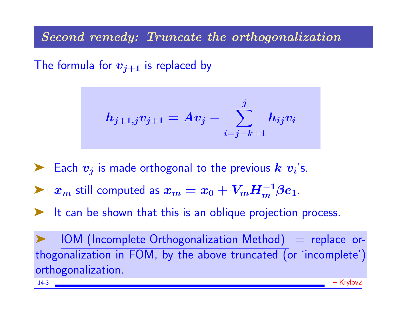Second remedy: Truncate the orthogonalization

The formula for  $v_{j+1}$  is replaced by

$$
h_{j+1,j}v_{j+1}=Av_j-\sum_{i=j-k+1}^jh_{ij}v_i
$$

Each  $v_j$  is made orthogonal to the previous  $k$   $v_i$ 's.

▶  $x_m$  still computed as  $x_m = x_0 + V_m H_m^{-1} \beta e_1$ .

It can be shown that this is an oblique projection process.

 $IOM$  (Incomplete Orthogonalization Method)  $=$  replace orthogonalization in FOM, by the above truncated (or 'incomplete') orthogonalization.

14-3 – Krylov2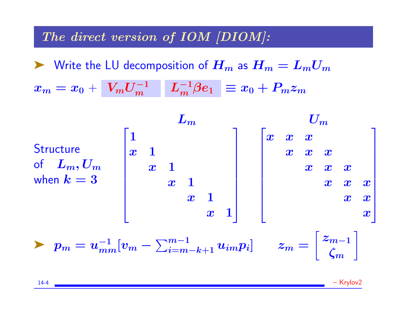#### The direct version of IOM [DIOM]:

 $\blacktriangleright$  Write the LU decomposition of  $H_m$  as  $H_m = L_m U_m$  $x_m = x_0 + \left| {V_m U_m^{ - 1} } \right| \left| {L_m^{ - 1} \beta e_1 } \right| \equiv x_0 + P_m z_m$ 



14-4 – Krylov2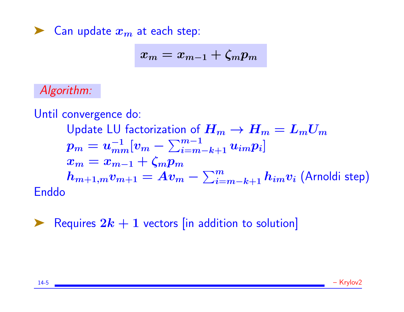### $\blacktriangleright$  Can update  $x_m$  at each step:

$$
x_m = x_{m-1} + \zeta_m p_m
$$

# Algorithm:

Until convergence do:

Update LU factorization of  $H_m \to H_m = L_m U_m$  $p_m = u_{mm}^{-1}[v_m - \sum_{i=m-k+1}^{m-1}u_{im}p_i]$  $x_m = x_{m-1} + \zeta_m p_m$  $\bm{h}_{m+1,m}\bm{v}_{m+1} = \overline{\bm{A}\bm{v}_m} - \sum_{i=m-k+1}^{m}\bm{h}_{im}\bm{v}_i$  (Arnoldi step) Enddo

Requires  $2k + 1$  vectors [in addition to solution]

14-5 – Krylov2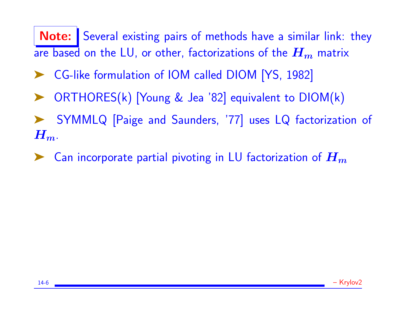Note: Several existing pairs of methods have a similar link: they are based on the LU, or other, factorizations of the  $H_m$  matrix

- ➤ CG-like formulation of IOM called DIOM [YS, 1982]
- ORTHORES(k) [Young & Jea '82] equivalent to DIOM(k)
- SYMMLQ [Paige and Saunders, '77] uses LQ factorization of  $H_m$ .
- Can incorporate partial pivoting in LU factorization of  $\boldsymbol{H_m}$

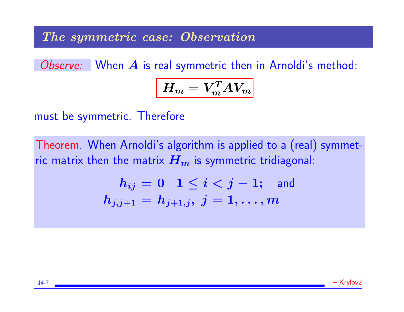#### The symmetric case: Observation

Observe: When A is real symmetric then in Arnoldi's method:

$$
H_m = V_m^T A V_m
$$

must be symmetric. Therefore

Theorem. When Arnoldi's algorithm is applied to a (real) symmetric matrix then the matrix  $H_m$  is symmetric tridiagonal:

$$
\begin{array}{rl} h_{ij}=0 & 1 \leq i < j-1; \quad \hbox{and} \\ h_{j,j+1}=h_{j+1,j}, \ j=1,\ldots,m \end{array}
$$

14-7 – Krylov2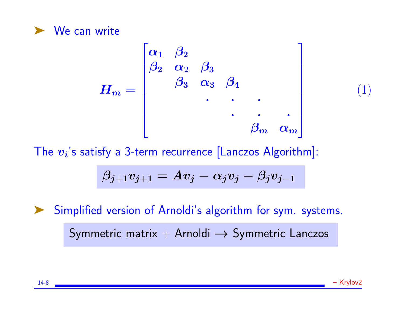

$$
H_m = \begin{bmatrix} \alpha_1 & \beta_2 \\ \beta_2 & \alpha_2 & \beta_3 \\ & \beta_3 & \alpha_3 & \beta_4 \\ & & \ddots & \ddots & \ddots \\ & & & \beta_m & \alpha_m \end{bmatrix}
$$

The  $\boldsymbol{v_i}$ 's satisfy a 3-term recurrence [Lanczos Algorithm]:

$$
\beta_{j+1} v_{j+1} = A v_j - \alpha_j v_j - \beta_j v_{j-1}
$$

➤ Simplified version of Arnoldi's algorithm for sym. systems.

Symmetric matrix  $+$  Arnoldi  $\rightarrow$  Symmetric Lanczos



(1)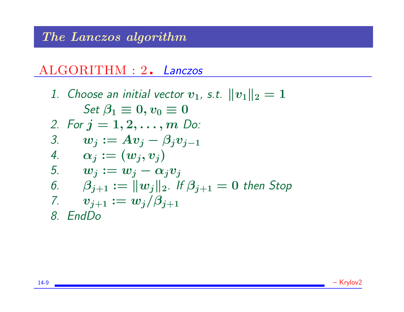# The Lanczos algorithm

# ALGORITHM : 2. Lanczos

1. Choose an initial vector  $v_1$ , s.t.  $||v_1||_2 = 1$ Set  $\beta_1 \equiv 0, v_0 \equiv 0$ 2. For  $j = 1, 2, ..., m$  Do: 3.  $w_j := Av_j - \beta_j v_{j-1}$ 4.  $\alpha_i := (w_i, v_i)$ 5.  $w_j := w_j - \alpha_j v_j$ 6.  $\beta_{i+1} := ||w_i||_2$ . If  $\beta_{i+1} = 0$  then Stop 7.  $v_{j+1} := w_j/\beta_{j+1}$ 8. EndDo

14-9 – Krylov2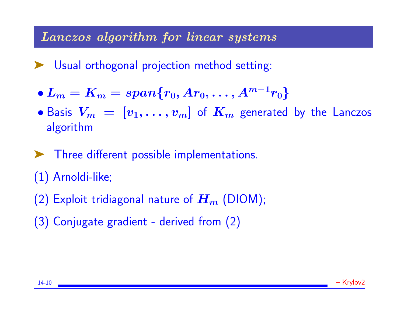### Lanczos algorithm for linear systems

➤ Usual orthogonal projection method setting:

$$
\bullet L_m=K_m=span\{r_0, Ar_0, \ldots, A^{m-1}r_0\}
$$

- Basis  $V_m = [v_1, \ldots, v_m]$  of  $K_m$  generated by the Lanczos algorithm
- ➤ Three different possible implementations.
- (1) Arnoldi-like;
- (2) Exploit tridiagonal nature of  $H_m$  (DIOM);
- (3) Conjugate gradient derived from (2)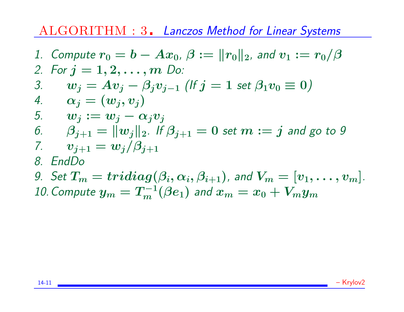# ALGORITHM : 3. Lanczos Method for Linear Systems

\n- 1. Compute 
$$
r_0 = b - Ax_0
$$
,  $\beta := ||r_0||_2$ , and  $v_1 := r_0/\beta$
\n- 2. For  $j = 1, 2, \ldots, m$  Do:
\n- 3.  $w_j = Av_j - \beta_j v_{j-1}$  (If  $j = 1$  set  $\beta_1 v_0 \equiv 0$ )
\n- 4.  $\alpha_j = (w_j, v_j)$
\n- 5.  $w_j := w_j - \alpha_j v_j$
\n- 6.  $\beta_{j+1} = ||w_j||_2$ . If  $\beta_{j+1} = 0$  set  $m := j$  and go to 9
\n- 7.  $v_{j+1} = w_j/\beta_{j+1}$
\n- 8. EndDo
\n- 9. Set  $T_m = \text{tridiag}(\beta_i, \alpha_i, \beta_{i+1})$ , and  $V_m = [v_1, \ldots, v_m]$ .
\n- 10. Compute  $y_m = T_m^{-1}(\beta e_1)$  and  $x_m = x_0 + V_m y_m$
\n

14-11 – Krylov2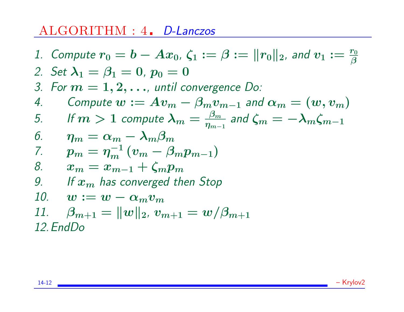# ALGORITHM : 4. D-Lanczos

\n- 1. Compute 
$$
r_0 = b - Ax_0
$$
,  $\zeta_1 := \beta := ||r_0||_2$ , and  $v_1 := \frac{r_0}{\beta}$
\n- 2. Set  $\lambda_1 = \beta_1 = 0$ ,  $p_0 = 0$
\n- 3. For  $m = 1, 2, \ldots$ , until convergence  $D_0$ :
\n- 4. Compute  $w := Av_m - \beta_m v_{m-1}$  and  $\alpha_m = (w, v_m)$
\n- 5. If  $m > 1$  compute  $\lambda_m = \frac{\beta_m}{\eta_{m-1}}$  and  $\zeta_m = -\lambda_m \zeta_{m-1}$
\n- 6.  $\eta_m = \alpha_m - \lambda_m \beta_m$
\n- 7.  $p_m = \eta_m^{-1} (v_m - \beta_m p_{m-1})$
\n- 8.  $x_m = x_{m-1} + \zeta_m p_m$
\n- 9. If  $x_m$  has converged then Stop
\n- 10.  $w := w - \alpha_m v_m$
\n- 11.  $\beta_{m+1} = ||w||_2$ ,  $v_{m+1} = w/\beta_{m+1}$
\n- 12. EndDo
\n

14-12 – Krylov2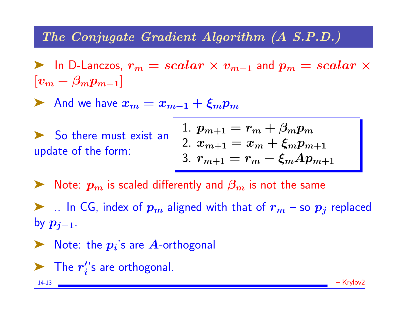# The Conjugate Gradient Algorithm (A S.P.D.)

► In D-Lanczos,  $r_m = scalar \times v_{m-1}$  and  $p_m = scalar \times v_m$  $[v_m - \beta_m p_{m-1}]$ 

And we have  $x_m = x_{m-1} + \xi_m p_m$ 

▶ So there must exist an update of the form:

$$
\begin{array}{l} 1.\ p_{m+1}=r_m+\beta_m p_m \\ 2.\ x_{m+1}=x_m+\xi_m p_{m+1} \\ 3.\ r_{m+1}=r_m-\xi_m A p_{m+1} \end{array}
$$

 $\blacktriangleright$  Note:  $p_m$  is scaled differently and  $\beta_m$  is not the same

 $\blacktriangleright$  .. In CG, index of  $p_m$  aligned with that of  $r_m$  – so  $p_j$  replaced by  $p_{j-1}$ .

 $\blacktriangleright$  Note: the  $p_i$ 's are  $A$ -orthogonal

 $\blacktriangleright$  The  $r'_i$  $\boldsymbol{c}'_{\boldsymbol{i}}$ 's are orthogonal.

14-13 – Krylov2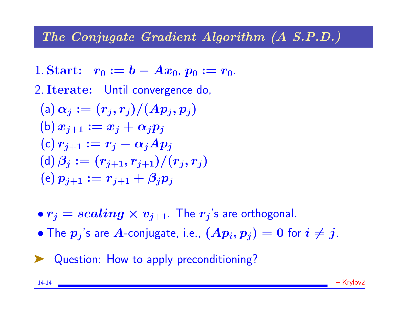# The Conjugate Gradient Algorithm (A S.P.D.)

- 1. Start:  $r_0 := b Ax_0, p_0 := r_0$ .
- 2. Iterate: Until convergence do,

(a) 
$$
\alpha_j := (r_j, r_j)/(Ap_j, p_j)
$$
  
\n(b)  $x_{j+1} := x_j + \alpha_j p_j$   
\n(c)  $r_{j+1} := r_j - \alpha_j Ap_j$   
\n(d)  $\beta_j := (r_{j+1}, r_{j+1})/(r_j, r_j)$   
\n(e)  $p_{j+1} := r_{j+1} + \beta_j p_j$ 

- $\bullet r_j = scaling \times v_{j+1}$ . The  $r_j$ 's are orthogonal.
- The  $p_j$ 's are A-conjugate, i.e.,  $(Ap_i, p_j) = 0$  for  $i \neq j$ .

▶ Question: How to apply preconditioning?

14-14 – Krylov2